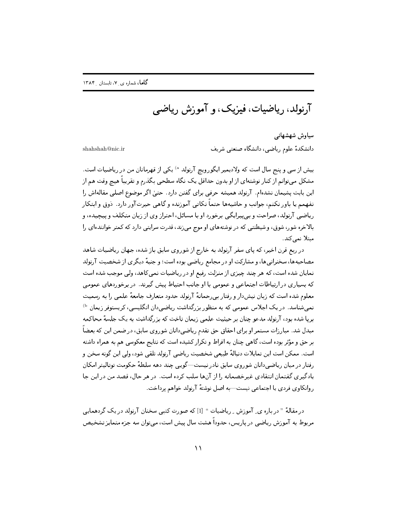آرنولد، رياضيات، فيزيک، و آموزش رياضي

سیاوش شهشهانے ِ دانشکدهٔ علوم ریاضی، دانشگاه صنعتی شریف

shahshah@nic ir

بیش از سی و پنج سال است که ولادیمیر ایگورویچ آرنولد <sup>۵</sup> یکی از قهرمانان من در ریاضیات است. مشکل می;توانم از کنار نوشتهای از او بدون حداقل یک نگاه سطحی بگذرم و تقریباً هیچ وقت هم از این بابت پشیمان نشدهام. آرنولد همیشه حرفی برای گفتن دارد. حتیٰ اگر موضوع اصلی مقالهاش را نفهمهم یا باور نکنم، جوانب و حاشیهها حتماً نکاتبی آموزنده و گاهبی حیرتآور دارد. دُوق و ابتکار ریاضی آرنولد، صراحت و بپیپرایگی برخورد او با مسائل، احتراز وی از زبان متکلف و پیچیده، و بالاخره شور، شوق، و شیطنتبی که در نوشتههای او موج می;ند، قدرت سرایتبی دارد که کمتر خوانندهای را مبتلا نمے کند.

در ربع قرن اخیر، که پای سفر آرنولد به خارج از شوروی سابق باز شده، جهان ریاضیات شاهد مصاحبهها، سخنرانیها، و مشارکت او در مجامع ریاضی بوده است؛ و جنبهٔ دیگری از شخصیت آرنولد نمایان شده است، که هر چند چیزی از منزلت رفیع او در ریاضیات نمی کاهد، ولی موجب شده است که بسیاری در ارتباطات اجتماعی و عمومی با او جانب احتیاط پیش گیرند. در برخوردهای عمومی معلوم شده است که زبان نیش دار و رفتار بی رحمانهٔ آرنولد حدود متعارف جامعهٔ علمی را به ,سمیت نمبی شناسد. در یک اجلاس عمومی که به منظور بزرگداشت ریاضی دان انگلیسی، کریستوفر زیمان <sup>(b</sup> بریا شده بود، آرنولد مدعو چنان بر حیثیت علمی زیمان تاخت که بزرگداشت به یک جلسهٔ محاکمه مبدل شد. مبارزات مستمر او برای احقاق حق تقدم ریاضیءانان شوروی سابق، در ضمن این که بعضاً بر حق و مؤثر بوده است، گاهی چنان به افراط و تکرار کشیده است که نتایج معکوسی هم به همراه داشته است. ممكن است اين تمايلات دنبالهٔ طبيعي شخصيت رياضي آرنولد تلقى شود، ولي اين گونه سخن و رفتار در میان ریاضی،دانان شوروی سابق نادر نیست—گویبی چند دهه سلطهٔ حکومت توتالیتر امکان یادگیری گفتمان انتقادی غیرخصمانه را از آنها سلب کرده است. در هر حال، قصد من در این جا روانكاوي فردي يا اجتماعي نيست—به اصل نوشتهٔ آرنولد خواهم پرداخت.

در مقالهٔ " در باره ی ِ آموزش ِ ریاضیات " [1] که صورت کتبی سخنان آرنولد در یک گردهمایی مربوط به آموزش ریاضی در یاریس، حدوداً هشت سال پیش است، میتوان سه جزء متمایز تشخیص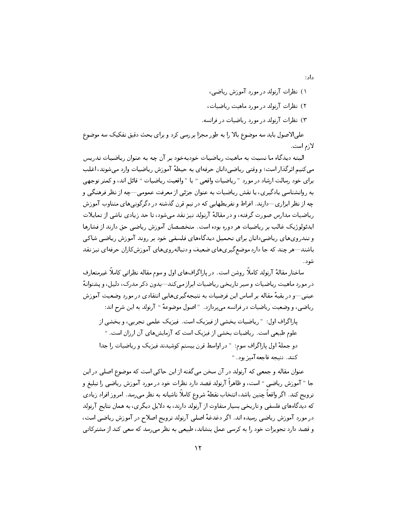داد :

- ۱) نظرات آرنولد در مورد آموزش ریاضی، ۲) نظرات آرنولد در مورد ماهیت ریاضیات،
- ۲) نظرات آرنولد در مورد ریاضیات در فرانسه.

علمي|لاصول بايد سه موضوع بالا را به طور مجزا بررسي كرد و براي بحث دقيق تفكيك سه موضوع لازم است.

البته دیدگاه ما نسبت به ماهیت , یاضیات خودبهخود بر آن چه به عنوان ریاضیات تدریس میکنیم اثرگذار است؛ و وقتبی ریاضیدانان حرفهای به حیطهٔ آموزش ریاضیات وارد می شوند، اغلب برای خود رسالت ارشاد در مورد "ریاضیات واقعی " یا "واقعیت ریاضیات " قائل اند، و کمتر توجهی به روانشناسی پادگیری، یا نقش ریاضیات به عنوان جزئی از معرفت عمومی—چه از نظر فرهنگی و چه از نظر ابزاری—دارند. افراط و تفریطهایی که در نیم قرن گذشته در دگرگونی های متناوب آموزش ریاضیات مدارس صورت گرفته، و در مقالهٔ آرنولد نیز نقد می شود، تا حد زیادی ناشی از تمایلات ایدئولوژیک غالب بر ریاضیات هر دوره بوده است. متخصصان آموزش ریاضی حق دارند از فشارها و تندرويهاي رياضي دانان براي تحميل ديدگاههاي فلسفي خود بر روند آموزش رياضي شاكي باشند—هر چند که جا دارد موضع گیریهای ضعیف و دنبالهرویهای آموزشکاران حرفهای نیز نقد شو د .

ساختار مقالهٔ آرنولد کاملاً روشن است. در پاراگرافهای اول و سوم مقاله نظراتی کاملاً غیرمتعارف در مورد ماهيت رياضيات و سير تاريخي رياضيات ابراز مي كند—بدون ذكر مدرك، دليل، ويشتوانهً عینبی—و در بقیهٔ مقاله بر اساس این فرضیات به نتیجهگیریهایی انتقادی در مورد وضعیت آموزش رياضي، و وضعيت رياضيات در فرانسه مى پردازد. " اصول موضوعهٔ " آرنولد به اين شرح اند:

باراگراف اول: " ریاضیات بخشی از فیزیک است. فیزیک علمی تجربی، و بخشی از علوم طبیعی است. ریاضیات بخشی از فیزیک است که آزمایشهای آن ارزان است. " دو جملهٔ اول پاراگراف سوم: " در اواسط قرن بیستم کوشیدند فیزیک و ریاضیات را جدا كنند. نتيجه فاجعه آميز بود. "

عنوان مقاله و جمعی که آرنولد در آن سخن میگفته از این حاکی است که موضوع اصلی در این جا " آموزش ریاضی " است، و ظاهراً آرنولد قصد دارد نظرات خود در مورد آموزش ریاضی را تبلیغ و ترویج کند. اگر واقعاً چنین باشد، انتخاب نقطهٔ شروع کاملاً ناشیانه به نظر میرسد. امروز افراد زیادی که دیدگاههای فلسفی و تاریخی بسیار متفاوت از آرنولد دارند، به دلایل دیگری، به همان نتایج آرنولد در مورد آموزش ریاضی رسیده اند. اگر دغدغهٔ اصلی آرنولد ترویج اصلاح در آموزش ریاضی است، و قصد دارد تجویزات خود را به کرسی عمل بنشاند، طبیعی به نظر می رسد که سعی کند از مشترکاتی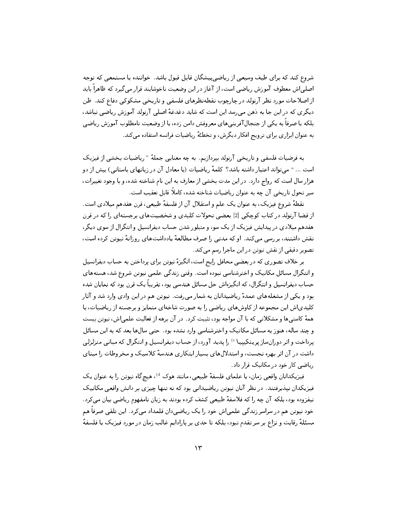شروع کند که برای طیف وسیعی از ریاضی پیشگان قابل قبول باشد. خواننده یا مستمعی که توجه اصلے اش معطوف آموزش ریاضی است، از آغاز در این وضعیت ناخوشایند قرار می گیرد که ظاهراً باید از اصلاحات مورد نظر آرنولد در چارچوب نقطهنظرهای فلسفی و تاریخی مشکوکی دفاع کند. ظن دیگری که در این جا به دهن می رسد این است که شاید دغدغهٔ اصلی آرنولد آموزش ریاضی نباشد، بلکه یا صرفاً به یکی از جنجال آفرینی های معروفش دامن زده، یا از وضعیت نامطلوب آموزش ریاضی به عنوان ابزاری برای ترویج افکار دیگرش، و تخطئهٔ ریاضیات فرانسه استفاده می کند.

به فرضیات فلسفی و تاریخی آرنولد بیردازیم. به چه معنایی جملهٔ "ریاضیات بخشی از فیزیک است ... " می تواند اعتبار داشته باشد؟ کلمهٔ ریاضیات (یا معادل آن در زبانهای باستانی) بیش از دو هزار سال است که رواج دارد. در این مدت بخشی از معارف به این نام شناخته شده، و با وجود تغییرات، سیر تحول تاریخی آن چه به عنوان ریاضیات شناخته شده، کاملاً قابل تعقیب است.

نقطهٔ شروع فیزیک، به عنوان یک علم و استقلال آن از فلسفهٔ طبیعی، قرن هفدهم میلادی است. از قضا آرنولد در کتاب کوچکی [2] بعضی تحولات کلیدی و شخصیتهای برجستهای را که در قرن هفدهم میلادی در پیدایش فیزیک از یک سو، و متبلور شدن حساب دیفرانسیل و انتگرال از سوی دیگر، نقش داشتند، بررسی می کند. او که مدتی را صرف مطالعهٔ یادداشتهای روزانهٔ نیوتن کرده است، تصویر دقیقی از نقش نیوتن در این ماجرا رسم میکند.

بر خلاف تصوری که در بعضی محافل رایج است، انگیزهٔ نیوتن برای پرداختن به حساب دیفرانسیل و انتگرال مسائل مکانیک و اخترشناسی نبوده است. وقتی زندگی علمی نیوتن شروع شد، هستههای حساب دیفرانسیل و انتگرال، که انگیزهاش حل مسائل هندسی بود، تقریباً یک قرن بود که نمایان شده بود و یکی از مشغلههای عمدهٔ ریاضیدانان به شمار میرفت. نیوتن هم در این وادی وارد شد و آثار کلیدیاش این مجموعه از کاوشهای ریاضی را به صورت شاخهای متمایز و برجسته از ریاضیات، با همهٔ کاستی ها و مشکلاتی که با آن مواجه بود، تثبیت کرد. در آن برهه از فعالیت علمی اش، نیوتن بیست و چند ساله، هنوز به مسائل مکانیک و اخترشناسی وارد نشده بود. حتبی سالها بعد که به این مسائل پرداخت و اثر دورانساز پرینکپیپا <sup>6</sup> را پدید آورد، از حساب دیفرانسیل و انتگرال که مبانبی متزلزلبی داشت در آن اثر بهره نجست، و استدلالهای بسیار ایتکاری هندسهٔ کلاسیک و مخروطات را مبنای ریاضی کار خود در مکانیک قرار داد.

فیزیکدانان واقعی زمان، یا علمای فلسفهٔ طبیعی، مانند هوک <sup>d)</sup>، هیچگاه نیوتن را به عنوان یک فیزیکدان نپذیرفتند. در نظر آنان نیوتن ریاضیدانی بود که نه تنها چیزی بر دانش واقعی مکانیک نیفزوده بود، بلکه آن چه را که فلاسفهٔ طبیعی کشف کرده بودند به زبان نامفهوم ریاضیی بیان می کرد. خود نیوتن هم در سراسر زندگی علمی|ش خود را یک ریاضیدان قلمداد میکرد . این تلقی صرفاً هم مسئلهٔ رقابت و نزاع بر سر تقدم نبود، بلکه تا حدی بر پارادایم غالب زمان در مورد فیزیک یا فلسفهٔ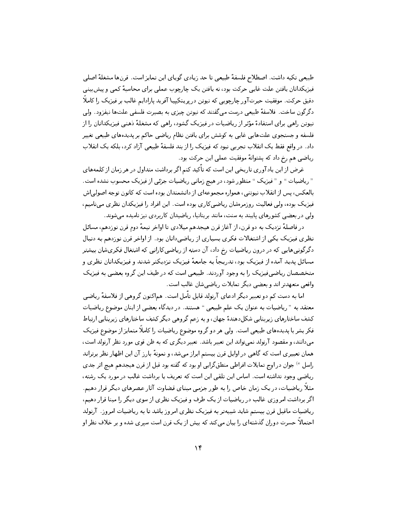طبیعی تکیه داشت. اصطلاح فلسفهٔ طبیعی تا حد زیادی گویای این تمایز است. قرنها مشغلهٔ اصلی فیزیکدانان یافتن علت غایبی حرکت بود، نه یافتن یک چارچوب عملی برای محاسبهٔ کمی و پیش بینی دقیق حرکت. موفقیت حیرتآور چارچوبی که نیوتن در پرینکیپیا آفرید پارادایم غالب بر فیزیک را کاملاً دگرگون ساخت. فلاسفهٔ طبیعی درست می گفتند که نیوتن چیزی به بصیرت فلسفی علتها نیفزود. ولی نیوتن راهی برای استفادهٔ مؤثر از ریاضیات در فیزیک گشود، راهی که مشغلهٔ ذهنبی فیزیکدانان را از .<br>فلسفه و جستجوی علتهایی غایی به کوشش برای یافتن نظام ریاضی حاکم بر پدیدههای طبیعی تغییر داد. در واقع فقط یک انقلاب تجربی نبود که فیزیک را از بند فلسفهٔ طبیعی آزاد کرد، بلکه یک انقلاب ریاضی هم رخ داد که پشتوانهٔ موفقیت عملی این حرکت بود.

غرض از این یادآوری تاریخی این است که تأکید کنم اگر برداشت متداول در هر زمان از کلمههای " ریاضیات " و "فیزیک " منظور شود، در هیچ زمانی ریاضیات جزئی از فیزیک محسوب نشده است. بالعکس، پس از انقلاب نیوتنی، همواره مجموعهای از دانشمندان بوده است که کانون توجه اصولی اش فیزیک بوده، ولبی فعالیت روزمرهشان ریاضبی کاری بوده است. این افراد را فیزیکدان نظری می نامیم، ولی در بعضی کشورهای پایبند به سنت، مانند بریتانیا، ریاضیدان کاربردی نیز نامیده میشوند.

در فاصلهٔ نیزدیک به دو قرن، از آغاز قرن هیجدهم میلادی تا اواخر نیمهٔ دوم قرن نوزدهم، مسائل نظری فیزیک یکی از اشتغالات فکری بسیاری از ریاضی دانان بود. از اواخر قرن نوزدهم به دنبال دگرگونی هایی که در درون ریاضیات رخ داد، آن دسته از ریاضی کارانی که اشتغال فکریشان بیشتر مسائل پدید آمده از فیزیک بود، تدریجاً به جامعهٔ فیزیک نزدیکتر شدند و فیزیکدانان نظری و متخصصان ریاضی فیزیک را به وجود آوردند. طبیعی است که در طیف این گروه بعضی به فیزیک واقعي متعهدتر اند و بعضي ديگر تمايلات رياضي شان غالب است.

اما به دست کم دو تعبیر دیگر ادعای آرنولد قابل تأمل است. هماکنون گروهی از فلاسفهٔ ریاضی معتقد به "ریاضیات به عنوان یک علم طبیعی " هستند. در دیدگاه بعضبی از اینان موضوع ریاضیات کشف ساختارهای زیربنایی شکلدهندهٔ جهان، و به زعم گروهی دیگر کشف ساختارهای زیربنایی ارتباط فکر بشر با پدیدههای طبیعی است. ولی هر دو گروه موضوع ریاضیات را کاملاً متمایز از موضوع فیزیک می،دانند، و مقصود آرنولد نمی تواند این تعبیر باشد. تعبیر دیگری که به ظن قوی مورد نظر آرنولد است، همان تعبیری است که گاهی در اوایل قرن بیستم ابراز میشد، و نمونهٔ بارز آن این اظهار نظر برتراند راسل <sup>6</sup>) جوان در اوج تمایلات افراطی منطق گرایی او بود که گفته بود قبل از قرن هیجدهم هیچ اثر جدی ریاضی وجود نداشته است. اساس این تلقی این است که تعریف یا برداشت غالب در مورد یک رشته، مثلاً ریاضیات، در یک زمان خاص را به طور جزمی مبنای قضاوت آثار عصرهای دیگر قرار دهیم. اگر برداشت امروزی غالب در ریاضیات از یک طرف و فیزیک نظری از سوی دیگر را مبنا قرار دهیم، ریاضیات ماقبل قرن بیستم شاید شبیهتر به فیزیک نظری امروز باشد تا به ریاضیات امروز. آرنولد احتمالاً حسرت دوران گذشتهای را بیان میکند که بیش از یک قرن است سیری شده و بر خلاف نظر او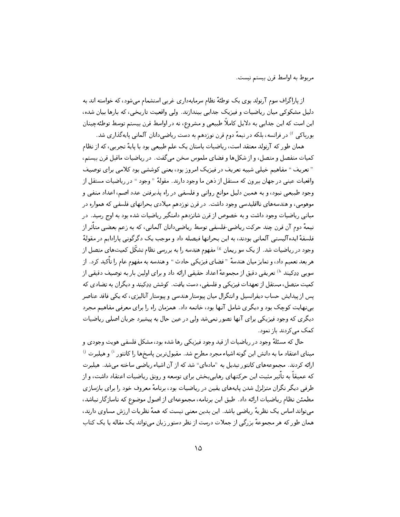مربوط به اواسط قرن بيستم نيست.

از پاراگراف سوم آرنولد بوی یک توطئهٔ نظام سرمایهداری غربی استشمام میشود، که خواسته اند به دلیل مشکوکی میان ریاضیات و فیزیک جدایی بیندازند. ولی واقعیت تاریخی، که بارها بیان شده، این است که این جدایی به دلایل کاملاً طبیعی و مشروع، نه در اواسط قرن بیستم توسط توطئهچینان بورباکی <sup>۴</sup> در فرانسه، بلکه در نیمهٔ دوم قرن نوزدهم به دست ریاضی دانان آلمانی پایهگذاری شد.

همان طور که آرنولد معتقد است، ریاضیات باستان یک علم طبیعی بود با پایهٔ تجربی، که از نظام کمیات منفصل و متصل، و از شکلها و فضای ملموس سخن می گفت. در ریاضیات ماقبل قرن بیستم، " تعریف " مفاهیم خیلی شبیه تعریف در فیزیک امروز بود، یعنی کوششی بود کلامی برای توصیف .<br>واقعیات عینی در جهان بیرون که مستقل از ذهن ما وجود دارند. مقولهٔ "وجود " در ریاضیات مستقل از .<br>وجود طبيعي نبود، و به همين دليل موانع رواني و فلسفي در راه پذيرفتن عدد اصم، اعداد منفي و موهومی، و هندسههای نااقلیدسی وجود داشت. در قرن نوزدهم میلادی بحرانهای فلسفی که همواره در .<br>مبانی ریاضیات وجود داشت و به خصوص از قرن شانزدهم دامنگیر ریاضیات شده بود به اوج رسید. در نیمههٔ دوم آن قرن چند حرکت ریاضی خلسفی توسط ریاضی دانان آلمانی، که به زعم بعضی متأثر از فلسفهٔ ایده آلیستی آلمانی بودند، به این بحرانها فیصله داد و موجب یک دگرگونی پارادایم در مقولهٔ وجود در ریاضیات شد. از یک سو ریمان <sup>6</sup> مفهوم هندسه را به بررسی نظام تشکّل کمیتهای متصل از هر بعد تعميم داد، و تمايز ميان هندسهٔ "فضاي فيزيكي حادث " و هندسه به مفهوم عام را تأكيد كرد. از سویبی دِدِکیند <sup>۱</sup>۵ تعریفی دقیق از مجموعهٔ اعداد حقیقی ارائه داد و برای اولین بار به توصیف دقیقی از كميت متصل، مستقل از تعهدات فيزيكي و فلسفي، دست يافت. كوشش دِدِكيند و ديگران به تضادي كه یس از پیدایش حساب دیفرانسیل و انتگرال میان پیوستار هندسی و پیوستار آنالیزی، که یکی فاقد عناصر ببینهایت کوچک بود و دیگری شامل آنها بود، خاتمه داد. همزمان راه را برای معرفبی مفاهیم مجرد دیگری که وجود فیزیکی برای آنها تصور نمیشد ولی در عین حال به پیشبرد جریان اصلی ریاضیات کمک مے کردند باز نمود.

حال که مسئلهٔ وجود در ریاضیات از قید وجود فیزیکی رها شده بود، مشکل فلسفی هویت وجودی و مبنای اعتقاد ما به دانش این گونه اشیاء مجرد مطرح شد. مقبولترین پاسخها را کانتور <sup>ن</sup>ا و هیلبرت <sup>نا</sup> ارائه کردند. مجموعههای کانتور تبدیل به "مادهای" شد که از آن اشیاء ریاضی ساخته می شد. هیلبرت که عمیقاً به تأثیر مثبت این حرکتهای رهاییٖبخش برای توسعه و رونق ریاضیات اعتقاد داشت، و از طرفی دیگر نگران متزلزل شدن پایههای یقین در ریاضیات بود، برنامهٔ معروف خود را برای بازسازی مطمئن نظام ریاضیات ارائه داد. طبق این برنامه، مجموعهای از اصول موضوع که ناسازگار نباشد، میتواند اساس یک نظریهٔ ریاضی باشد. این بدین معنی نیست که همهٔ نظریات ارزش مساوی دارند، همان طور که هر مجموعهٔ بزرگی از جملات درست از نظر دستور زبان میتواند یک مقاله یا یک کتاب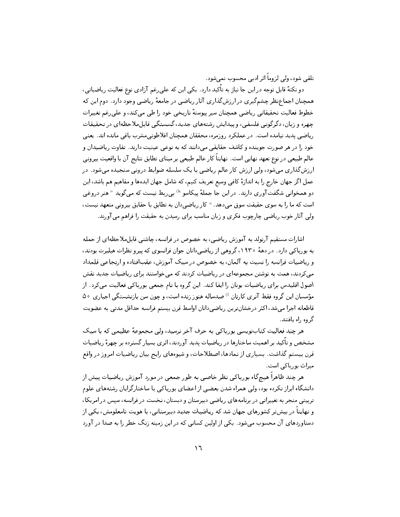تلقى شود، ولى لزوماً أثر أدبى محسوب نمى شود.

دو نکتهٔ قابل توجه در این جا نیاز به تأکید دارد . یکی این که علی ِغم آزادی نوع فعالیت ریاضیاتی، همچنان اجماعنظرچشمگیری در ارزشگذاری آثار ریاضی در جامعهٔ ریاضی وجود دارد. دوم این که خطوط فعالیت تحقیقاتی ریاضی همچنان سیر پیوستهٔ تاریخی خود را طی میکند، و علی رغم تغییرات چهره و زبان، دگرگونی فلسفی، و پیدایش رشتههای جدید، گسستگی قابل ملاحظهای در تحقیقات ریاضی پدید نیامده است. در عملکرد روزمره، محققان همچنان افلاطونی مشرب باقی مانده اند. یعنی خود را در هر صورت جوینده و کاشف حقایقی میدانند که به نوعی عینیت دارند. تفاوت ریاضیدان و عالم طبیعی در نوع تعهد نهایی است. نهایتاً کار عالم طبیعی بر مبنای تطابق نتایج آن با واقعیت بیرونی ارزشگذاری میشود، ولی ارزش کار عالم ریاضی با یک سلسله ضوابط درونی سنجیده میشود. در عمل اگر جهان خارج را به اندازهٔ کافی وسیع تعریف کنیم، که شامل جهان ایدهها و مفاهیم هم باشد، این دو همخوانی شگفت آوری دارند. در این جا جملهٔ پیکاسو <sup>۱</sup>۰ بی ربط نیست که می گوید "هنر دروغی است که ما را به سوی حقیقت سوق میدهد. " کار ریاضیدان به تطابق با حقایق بیرونی متعهد نیست، ولي آثار خوب رياضي چارچوب فكري و زبان مناسب براي رسيدن به حقيقت را فراهم مي آورند.

اشارات مستقیم آرنولد به آموزش ریاضی، به خصوص در فرانسه، چاشنی قابل ملاحظه ای از حمله به بورباکی دارد. در دههٔ ۱۹۳۰، گروهی از ریاضی دانان جوان فرانسوی که پیرو نظرات هیلبرت بودند، و ریاضیات فرانسه را نسبت به آلمان، به خصوص در سبک آموزش، عقبافتاده و ارتجاعی قلمداد می کردند، همت به نوشتن مجموعهای در ریاضیات کردند که می خواستند برای ریاضیات جدید نقش اصول اقلیدس برای ریاضیات یونان را ایفا کند. این گروه با نام جمعی بورباکی فعالیت می کرد. از مؤسسان این گروه فقط آنری کارتان <sup>1)</sup> صدساله هنوز زنده است، و چون سن بازنشستگی اجباری ۵۰ قاطعانه اجرا مىشد، اكثر درخشانترين رياضىدانان اواسط قرن بيستم فرانسه حداقل مدتى به عضويت گر وه راه بافتند.

هر چند فعالیت کتابنویسی بورباکی به حرف آخر نرسید، ولی مجموعهٔ عظیمی که با سبک مشخص و تأكيد بر اهميت ساختارها در رياضيات يديد آوردند، اثري بسيار گسترده بر چهرهٔ رياضيات قرن بیستم گذاشت. بسیاری از نمادها، اصطلاحات، و شیوههای رایج بیان ریاضیات امروز در واقع میراث بورباکی است.

هر چند ظاهراً هیچگاه بورباکی نظر خاصی به طور جمعی در مورد آموزش ریاضیات پیش از دانشگاه ابراز نکرده بود، ولی همراه شدن بعضی از اعضای بورباکی با ساختارگرایان رشتههای علوم تربیتی منجر به تغییراتی در برنامههای ریاضی دبیرستان و دبستان، نخست در فرانسه، سپس در امریکا، و نهایتاً در بیشتر کشورهای جهان شد که ریاضیات جدید دبیرستانی، با هویت نامعلومش، یکی از دستاوردهای آن محسوب میشود. یکی از اولین کسانی که در این زمینه زنگ خطر را به صدا در آورد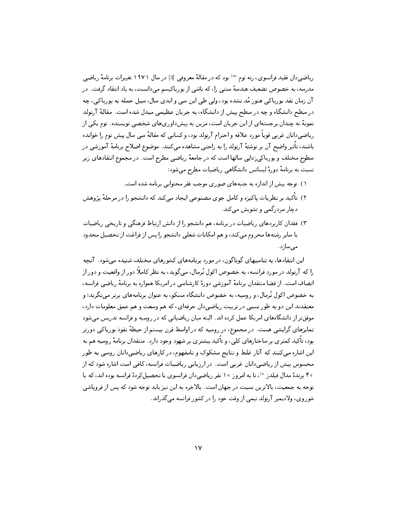ریاضی دان فقید فرانسوی، رنه توم <sup>m)</sup> بود که در مقالهٔ معروفی [3] در سال ۱۹۷۱ تغییرات برنامهٔ ریاضی مدرسه، به خصوص تضعیف هندسهٔ سنتی را، که ناشی از بورباکیسم میدانست، به باد انتقاد گرفت. در آن زمان نقد بورباکی هنوز مُد نشده بود، ولی طی این سی و اندی سال، سیل حمله به بورباکی، چه در سطح دانشگاه و چه در سطح پیش از دانشگاه، به جریان عظیمی مبدل شده است. مقالهٔ آرنولد نمونهٔ نه چندان برجستهای از این جریان است، مزین به پیشداوریهای شخصی نویسنده. توم یکی از ریاضی دانان غربی قویاً مورد علاقه و احترام آرنولد بود، و کسانی که مقالهٔ سی سال پیش توم را خوانده باشند، تأثیر واضح آن بر نوشتهٔ آرنولد را به راحتی مشاهده میکنند. موضوع اصلاح برنامهٔ آموزشی در سطوح مختلف و بورباکی زدایی سالها است که در جامعهٔ ریاضی مطرح است. در مجموع انتقادهای زیر نسبت به برنامهٔ دورهٔ لیسانس دانشگاهی ریاضیات مطرح می شود:

- ١) توجه بيش از اندازه به جنبههاي صوري موجب فقر محتوايي برنامه شده است.
- ۲) تأكيد بر نظريات ياكيزه و كامل جوي مصنوعي ايجاد ميكند كه دانشجو را در مرحلهٔ يژوهش دچار سردرگمی و تشویش میکند.
- ۲) فقدان کاربردهای ریاضیات در برنامه، هم دانشجو را از دانش ارتباط فرهنگی و تاریخی ریاضیات با سایر رشتهها محروم می کند، و هم امکانات شغلی دانشجو را پس از فراغت از تحصیل محدود مىسازد.

این انتقادها، به تناسبهای گوناگون، در مورد برنامههای کشورهای مختلف شنیده می شود. آنچه را که آرنولد در مورد فرانسه، به خصوص اکول نُرمال، می گوید، به نظر کاملاً دور از واقعیت و دور از انصاف است. از قضا منتقدان برنامهٔ آموزشی دورهٔ کارشناسی در امریکا همواره به برنامهٔ ریاضی فرانسه، به خصوص اکول نُرمال، و روسیه، به خصوص دانشگاه مسکو، به عنوان برنامههای برتر مینگرند؛ و معتقدند این دو به طور نسبی در تربیت ریاضیدان حرفهای، که هم وسعت و هم عمق معلومات دارد، موفق تر از دانشگاههای امریکا عمل کرده اند. البته میان ریاضیاتی که در روسیه و فرانسه تدریس می شود تمایزهای گرایشی هست. در مجموع، در روسیه که در اواسط قرن بیستم از حیطهٔ نفوذ بورباکی دورتر بود، تأکید کمتری بر ساختارهای کلی، و تأکید بیشتری بر شهود وجود دارد. منتقدان برنامهٔ روسیه هم به این اشاره میکنند که آثار غلط و نتایج مشکوک و نامفهوم، در کارهای ریاضیدانان روسی به طور محسوس بیش از ریاضیدانان غربی است. در ارزیابی ریاضیات فرانسه، کافی است اشاره شود که از ۴۰ برندهٔ مدال فیلدز <sup>n)</sup>، تا به امروز ۱۰ نفر ریاضیدان فرانسوی یا تحصیل کردهٔ فرانسه بوده اند، که با توجه به جمعیت، بالاترین نسبت در جهان است. بالاخره به این نیز باید توجه شود که پس از فرویاشی شوروی، ولادیمیر آرنولد نیمی از وقت خود را در کشور فرانسه می گذراند.